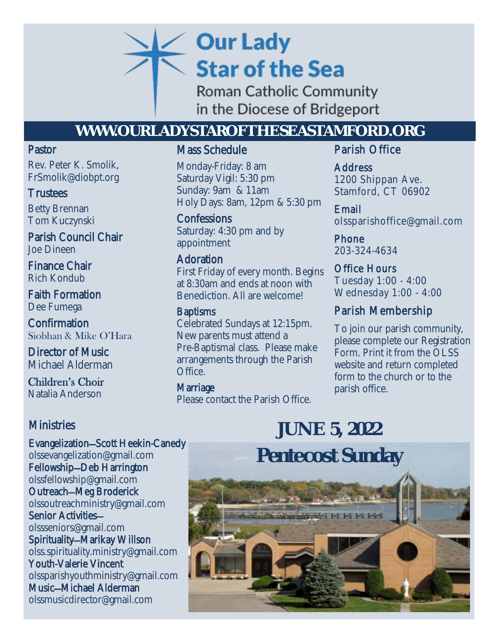# **Our Lady Star of the Sea**

Roman Catholic Community in the Diocese of Bridgeport

# **WWW.OURLADYSTAROFTHESEASTAMFORD.ORG**

### Pastor

Rev. Peter K. Smolik, FrSmolik@diobpt.org

# **Trustees**

Betty Brennan Tom Kuczynski

Parish Council Chair Joe Dineen

Finance Chair Rich Kondub

Faith Formation Dee Fumega

Confirmation Siobhan & Mike O'Hara

Director of Music Michael Alderman

Children's Choir Natalia Anderson

# **Ministries**

Evangelization—Scott Heekin-Canedy [olssevangelization@gmail.com](mailto:olssevangelization@gmail.com) Fellowship—Deb Harrington [olssfellowship@gmail.com](mailto:olssfellowship@gmail.com) Outreach—Meg Broderick [olssoutreachministry@gmail.com](mailto:olssoutreachministry@gmail.com) Senior Activities [olssseniors@gmail.com](mailto:olssseniors@gmail.com) Spirituality—Marikay Willson ols[s.spirituality.ministry@gmail.com](mailto:OLSS.Spirituality.Ministry@gmail.com) Youth-Valerie Vincent [olssparishyouthministry@gmail.com](mailto:olssparishyouthministry@gmail.com) Music—Michael Alderman olssmusicdirector@gmail.com

# Mass Schedule

**Datarday Vigit: 5.50 pm**<br> **Sunday: 9am & 11am**<br> **COLLEGE 2020** Monday-Friday: 8 am Saturday Vigil: 5:30 pm Holy Days: 8am, 12pm & 5:30 pm

> **Confessions** Saturday: 4:30 pm and by appointment

# Adoration

First Friday of every month. Begins at 8:30am and ends at noon with Benediction. All are welcome!

### **Baptisms**

Celebrated Sundays at 12:15pm. New parents must attend a Pre-Baptismal class. Please make arrangements through the Parish Office.

**Marriage** Please contact the Parish Office.

# Parish Office

Address 1200 Shippan Ave. Stamford, CT 06902

Email olssparishoffice@gmail.com

Phone 203-324-4634

Office Hours Tuesday 1:00 - 4:00 Wednesday 1:00 - 4:00

# Parish Membership

 To join our parish community, please complete our Registration Form. Print it from the OLSS website and return completed form to the church or to the parish office.

# **JUNE 5, 2022**

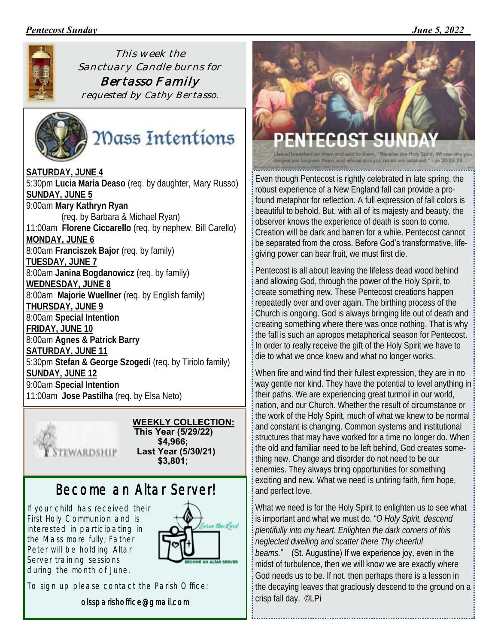### *Pentecost Sunday \_\_\_\_\_\_\_\_\_\_\_\_\_\_\_\_\_\_\_\_\_\_\_\_ June 5, 2022*



*This week the Sanctuary Candle burns for Bertasso Family* 

*requested by Cathy Bertasso.*



# Mass Intentions

**SATURDAY, JUNE 4** 5:30pm **Lucia Maria Deaso** (req. by daughter, Mary Russo) **SUNDAY, JUNE 5** 9:00am **Mary Kathryn Ryan** (req. by Barbara & Michael Ryan) 11:00am **Florene Ciccarello** (req. by nephew, Bill Carello) **MONDAY, JUNE 6** 8:00am **Franciszek Bajor** (req. by family) **TUESDAY, JUNE 7** 8:00am **Janina Bogdanowicz** (req. by family) **WEDNESDAY, JUNE 8** 8:00am **Majorie Wuellner** (req. by English family) **THURSDAY, JUNE 9** 8:00am **Special Intention FRIDAY, JUNE 10** 8:00am **Agnes & Patrick Barry SATURDAY, JUNE 11** 5:30pm **Stefan & George Szogedi** (req. by Tiriolo family) **SUNDAY, JUNE 12** 9:00am **Special Intention** 11:00am **Jose Pastilha** (req. by Elsa Neto)



#### **WEEKLY COLLECTION: This Year (5/29/22) \$4,966; Last Year (5/30/21) \$3,801;**

# *Become an Altar Server!*

*If your child has received their First Holy Communion and is interested in participating in the Mass more fully; Father Peter will be holding Altar Server training sessions during the month of June.* 



*To sign up please contact the Parish Office:* 

*olssparishoffice@gmail.com*



Even though Pentecost is rightly celebrated in late spring, the robust experience of a New England fall can provide a profound metaphor for reflection. A full expression of fall colors is beautiful to behold. But, with all of its majesty and beauty, the observer knows the experience of death is soon to come. Creation will be dark and barren for a while. Pentecost cannot be separated from the cross. Before God's transformative, lifegiving power can bear fruit, we must first die.

Pentecost is all about leaving the lifeless dead wood behind and allowing God, through the power of the Holy Spirit, to create something new. These Pentecost creations happen repeatedly over and over again. The birthing process of the Church is ongoing. God is always bringing life out of death and creating something where there was once nothing. That is why the fall is such an apropos metaphorical season for Pentecost. In order to really receive the gift of the Holy Spirit we have to die to what we once knew and what no longer works.

When fire and wind find their fullest expression, they are in no way gentle nor kind. They have the potential to level anything in their paths. We are experiencing great turmoil in our world, nation, and our Church. Whether the result of circumstance or the work of the Holy Spirit, much of what we knew to be normal and constant is changing. Common systems and institutional structures that may have worked for a time no longer do. When the old and familiar need to be left behind, God creates something new. Change and disorder do not need to be our enemies. They always bring opportunities for something exciting and new. What we need is untiring faith, firm hope, and perfect love.

What we need is for the Holy Spirit to enlighten us to see what is important and what we must do. "*O Holy Spirit, descend plentifully into my heart. Enlighten the dark corners of this neglected dwelling and scatter there Thy cheerful beams.*" (St. Augustine) If we experience joy, even in the midst of turbulence, then we will know we are exactly where God needs us to be. If not, then perhaps there is a lesson in the decaying leaves that graciously descend to the ground on a crisp fall day. ©LPi